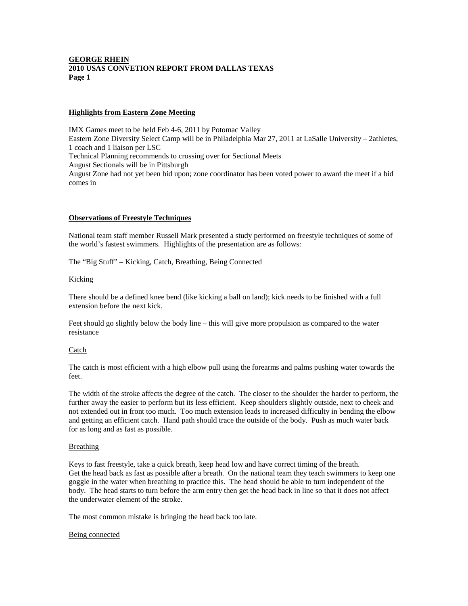## **GEORGE RHEIN 2010 USAS CONVETION REPORT FROM DALLAS TEXAS Page 1**

#### **Highlights from Eastern Zone Meeting**

IMX Games meet to be held Feb 4-6, 2011 by Potomac Valley Eastern Zone Diversity Select Camp will be in Philadelphia Mar 27, 2011 at LaSalle University – 2athletes, 1 coach and 1 liaison per LSC Technical Planning recommends to crossing over for Sectional Meets August Sectionals will be in Pittsburgh August Zone had not yet been bid upon; zone coordinator has been voted power to award the meet if a bid comes in

## **Observations of Freestyle Techniques**

National team staff member Russell Mark presented a study performed on freestyle techniques of some of the world's fastest swimmers. Highlights of the presentation are as follows:

The "Big Stuff" – Kicking, Catch, Breathing, Being Connected

#### Kicking

There should be a defined knee bend (like kicking a ball on land); kick needs to be finished with a full extension before the next kick.

Feet should go slightly below the body line – this will give more propulsion as compared to the water resistance

#### Catch

The catch is most efficient with a high elbow pull using the forearms and palms pushing water towards the feet.

The width of the stroke affects the degree of the catch. The closer to the shoulder the harder to perform, the further away the easier to perform but its less efficient. Keep shoulders slightly outside, next to cheek and not extended out in front too much. Too much extension leads to increased difficulty in bending the elbow and getting an efficient catch. Hand path should trace the outside of the body. Push as much water back for as long and as fast as possible.

#### Breathing

Keys to fast freestyle, take a quick breath, keep head low and have correct timing of the breath. Get the head back as fast as possible after a breath. On the national team they teach swimmers to keep one goggle in the water when breathing to practice this. The head should be able to turn independent of the body. The head starts to turn before the arm entry then get the head back in line so that it does not affect the underwater element of the stroke.

The most common mistake is bringing the head back too late.

#### Being connected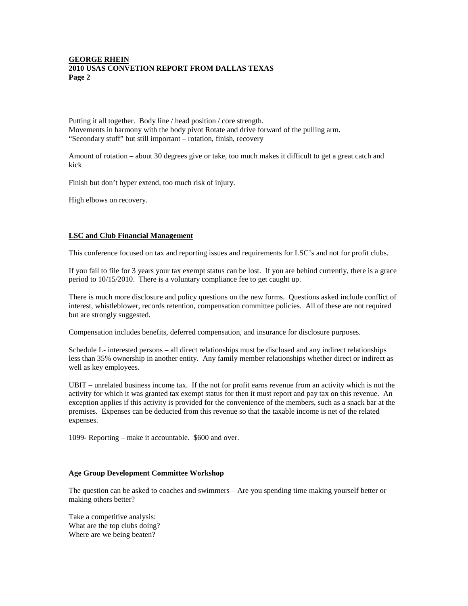## **GEORGE RHEIN 2010 USAS CONVETION REPORT FROM DALLAS TEXAS Page 2**

Putting it all together. Body line / head position / core strength. Movements in harmony with the body pivot Rotate and drive forward of the pulling arm. "Secondary stuff" but still important – rotation, finish, recovery

Amount of rotation – about 30 degrees give or take, too much makes it difficult to get a great catch and kick

Finish but don't hyper extend, too much risk of injury.

High elbows on recovery.

# **LSC and Club Financial Management**

This conference focused on tax and reporting issues and requirements for LSC's and not for profit clubs.

If you fail to file for 3 years your tax exempt status can be lost. If you are behind currently, there is a grace period to 10/15/2010. There is a voluntary compliance fee to get caught up.

There is much more disclosure and policy questions on the new forms. Questions asked include conflict of interest, whistleblower, records retention, compensation committee policies. All of these are not required but are strongly suggested.

Compensation includes benefits, deferred compensation, and insurance for disclosure purposes.

Schedule L- interested persons – all direct relationships must be disclosed and any indirect relationships less than 35% ownership in another entity. Any family member relationships whether direct or indirect as well as key employees.

UBIT – unrelated business income tax. If the not for profit earns revenue from an activity which is not the activity for which it was granted tax exempt status for then it must report and pay tax on this revenue. An exception applies if this activity is provided for the convenience of the members, such as a snack bar at the premises. Expenses can be deducted from this revenue so that the taxable income is net of the related expenses.

1099- Reporting – make it accountable. \$600 and over.

#### **Age Group Development Committee Workshop**

The question can be asked to coaches and swimmers – Are you spending time making yourself better or making others better?

Take a competitive analysis: What are the top clubs doing? Where are we being beaten?